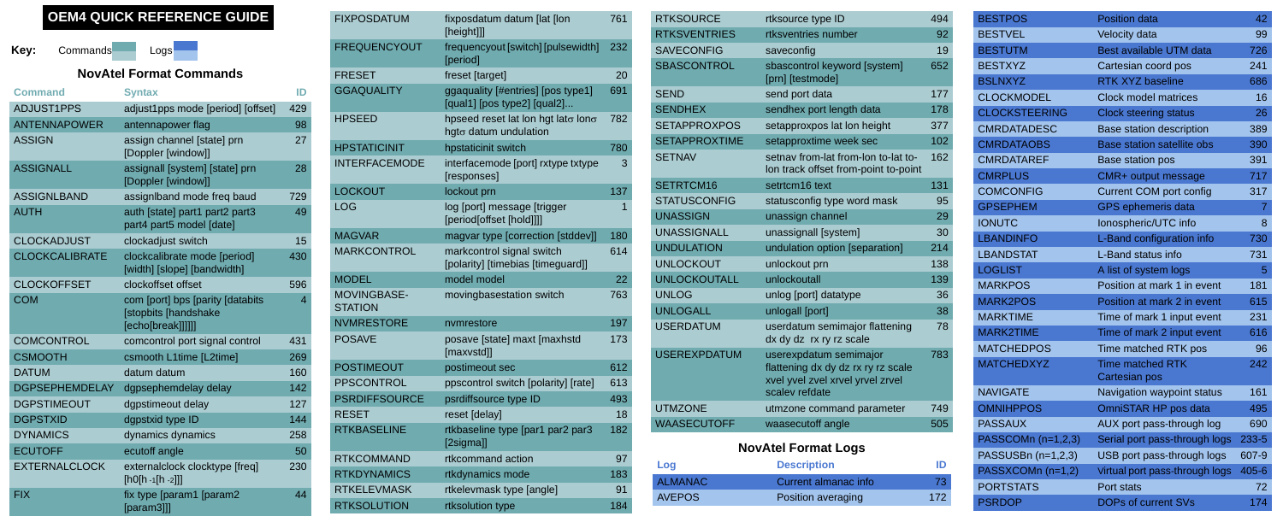## **NovAtel Format Commands**

| <b>Command</b>        | <b>Syntax</b>                                                                 | ID             |
|-----------------------|-------------------------------------------------------------------------------|----------------|
| <b>ADJUST1PPS</b>     | adjust1pps mode [period] [offset]                                             | 429            |
| <b>ANTENNAPOWER</b>   | antennapower flag                                                             | 98             |
| <b>ASSIGN</b>         | assign channel [state] prn<br>[Doppler [window]]                              | 27             |
| <b>ASSIGNALL</b>      | assignall [system] [state] prn<br>[Doppler [window]]                          | 28             |
| <b>ASSIGNLBAND</b>    | assigniband mode freg baud                                                    | 729            |
| AUTH                  | auth [state] part1 part2 part3<br>part4 part5 model [date]                    | 49             |
| <b>CLOCKADJUST</b>    | clockadjust switch                                                            | 15             |
| <b>CLOCKCALIBRATE</b> | clockcalibrate mode [period]<br>[width] [slope] [bandwidth]                   | 430            |
| <b>CLOCKOFFSET</b>    | clockoffset offset                                                            | 596            |
| <b>COM</b>            | com [port] bps [parity [databits<br>[stopbits [handshake<br>[echo[break]]]]]] | $\overline{4}$ |
| <b>COMCONTROL</b>     | comcontrol port signal control                                                | 431            |
| <b>CSMOOTH</b>        | csmooth L1time [L2time]                                                       | 269            |
| <b>DATUM</b>          | datum datum                                                                   | 160            |
| <b>DGPSEPHEMDELAY</b> | dgpsephemdelay delay                                                          | 142            |
| <b>DGPSTIMEOUT</b>    | dgpstimeout delay                                                             | 127            |
| <b>DGPSTXID</b>       | dgpstxid type ID                                                              | 144            |
| <b>DYNAMICS</b>       | dynamics dynamics                                                             | 258            |
| <b>ECUTOFF</b>        | ecutoff angle                                                                 | 50             |
| <b>EXTERNALCLOCK</b>  | externalclock clocktype [freq]<br>$[h0[h -1[h -2]]]$                          | 230            |
| <b>FIX</b>            | fix type [param1 [param2<br>$[param3]$ ]                                      | 44             |

| <b>FIXPOSDATUM</b>                   | fixposdatum datum [lat [lon<br>[height]]]                           | 761 |
|--------------------------------------|---------------------------------------------------------------------|-----|
| <b>FREQUENCYOUT</b>                  | frequencyout [switch] [pulsewidth]<br>[period]                      | 232 |
| <b>FRESET</b>                        | freset [target]                                                     | 20  |
| <b>GGAQUALITY</b>                    | ggaquality [#entries] [pos type1]<br>[qual1] [pos type2] [qual2]    | 691 |
| HPSEED                               | hpseed reset lat lon hgt lato lono<br>hgt $\sigma$ datum undulation | 782 |
| <b>HPSTATICINIT</b>                  | hpstaticinit switch                                                 | 780 |
| <b>INTERFACEMODE</b>                 | interfacemode [port] rxtype txtype<br>[responses]                   | 3   |
| <b>LOCKOUT</b>                       | lockout prn                                                         | 137 |
| LOG                                  | log [port] message [trigger<br>[period[offset [hold]]]]             | 1   |
| <b>MAGVAR</b>                        | magvar type [correction [stddev]]                                   | 180 |
| <b>MARKCONTROL</b>                   | markcontrol signal switch<br>[polarity] [timebias [timeguard]]      | 614 |
| <b>MODEL</b>                         | model model                                                         | 22  |
| <b>MOVINGBASE-</b><br><b>STATION</b> | movingbasestation switch                                            | 763 |
| <b>NVMRESTORE</b>                    | nvmrestore                                                          | 197 |
| <b>POSAVE</b>                        | posave [state] maxt [maxhstd<br>[maxvstd]]                          | 173 |
| <b>POSTIMEOUT</b>                    | postimeout sec                                                      | 612 |
| <b>PPSCONTROL</b>                    | ppscontrol switch [polarity] [rate]                                 | 613 |
| <b>PSRDIFFSOURCE</b>                 | psrdiffsource type ID                                               | 493 |
| <b>RESET</b>                         | reset [delay]                                                       | 18  |
| <b>RTKBASELINE</b>                   | rtkbaseline type [par1 par2 par3<br>[2sigma]]                       | 182 |
| <b>RTKCOMMAND</b>                    | rtkcommand action                                                   | 97  |
| <b>RTKDYNAMICS</b>                   | rtkdynamics mode                                                    | 183 |
| <b>RTKELEVMASK</b>                   | rtkelevmask type [angle]                                            | 91  |
| <b>RTKSOLUTION</b>                   | rtksolution type                                                    | 184 |

| <b>RTKSOURCE</b>     | rtksource type ID                                                      | 494 | <b>BESTPOS</b>       | <b>Position data</b>                     | 42    |
|----------------------|------------------------------------------------------------------------|-----|----------------------|------------------------------------------|-------|
| <b>RTKSVENTRIES</b>  | rtksventries number                                                    | 92  | <b>BESTVEL</b>       | Velocity data                            | 99    |
| <b>SAVECONFIG</b>    | saveconfig                                                             | 19  | <b>BESTUTM</b>       | Best available UTM data                  | 726   |
| <b>SBASCONTROL</b>   | sbascontrol keyword [system]                                           | 652 | <b>BESTXYZ</b>       | Cartesian coord pos                      | 241   |
|                      | [prn] [testmode]                                                       |     | <b>BSLNXYZ</b>       | <b>RTK XYZ baseline</b>                  | 686   |
| <b>SEND</b>          | send port data                                                         | 177 | <b>CLOCKMODEL</b>    | Clock model matrices                     | 16    |
| <b>SENDHEX</b>       | sendhex port length data                                               | 178 | <b>CLOCKSTEERING</b> | <b>Clock steering status</b>             | 26    |
| <b>SETAPPROXPOS</b>  | setapproxpos lat lon height                                            | 377 | <b>CMRDATADESC</b>   | Base station description                 | 389   |
| <b>SETAPPROXTIME</b> | setapproxtime week sec                                                 | 102 | <b>CMRDATAOBS</b>    | <b>Base station satellite obs</b>        | 390   |
| <b>SETNAV</b>        | setnav from-lat from-lon to-lat to-                                    | 162 | <b>CMRDATAREF</b>    | Base station pos                         | 391   |
|                      | Ion track offset from-point to-point                                   |     | <b>CMRPLUS</b>       | CMR+ output message                      | 717   |
| SETRTCM16            | setrtcm16 text                                                         | 131 | <b>COMCONFIG</b>     | <b>Current COM port config</b>           | 317   |
| <b>STATUSCONFIG</b>  | statusconfig type word mask                                            | 95  | <b>GPSEPHEM</b>      | <b>GPS</b> ephemeris data                | 7     |
| <b>UNASSIGN</b>      | unassign channel                                                       | 29  | <b>IONUTC</b>        | Ionospheric/UTC info                     | 8     |
| <b>UNASSIGNALL</b>   | unassignall [system]                                                   | 30  | <b>LBANDINFO</b>     | L-Band configuration info                | 730   |
| <b>UNDULATION</b>    | undulation option [separation]                                         | 214 | <b>LBANDSTAT</b>     | L-Band status info                       | 731   |
| <b>UNLOCKOUT</b>     | unlockout prn                                                          | 138 | <b>LOGLIST</b>       | A list of system logs                    | 5     |
| <b>UNLOCKOUTALL</b>  | unlockoutall                                                           | 139 | <b>MARKPOS</b>       | Position at mark 1 in event              | 181   |
| <b>UNLOG</b>         | unlog [port] datatype                                                  | 36  | <b>MARK2POS</b>      | Position at mark 2 in event              | 615   |
| <b>UNLOGALL</b>      | unlogall [port]                                                        | 38  | <b>MARKTIME</b>      | Time of mark 1 input event               | 231   |
| <b>USERDATUM</b>     | userdatum semimajor flattening<br>dx dy dz rx ry rz scale              | 78  | <b>MARK2TIME</b>     | Time of mark 2 input event               | 616   |
| <b>USEREXPDATUM</b>  | userexpdatum semimajor                                                 | 783 | <b>MATCHEDPOS</b>    | Time matched RTK pos                     | 96    |
|                      | flattening dx dy dz rx ry rz scale<br>xvel yvel zvel xrvel yrvel zrvel |     | <b>MATCHEDXYZ</b>    | <b>Time matched RTK</b><br>Cartesian pos | 242   |
|                      | scalev refdate                                                         |     | <b>NAVIGATE</b>      | Navigation waypoint status               | 161   |
| <b>UTMZONE</b>       | utmzone command parameter                                              | 749 | <b>OMNIHPPOS</b>     | OmniSTAR HP pos data                     | 495   |
| <b>WAASECUTOFF</b>   | waasecutoff angle                                                      | 505 | <b>PASSAUX</b>       | AUX port pass-through log                | 690   |
|                      | <b>NovAtel Format Logs</b>                                             |     | PASSCOMn (n=1,2,3)   | Serial port pass-through logs            | 233-5 |
|                      |                                                                        |     | PASSUSBn (n=1,2,3)   | USB port pass-through logs               | 607-9 |
| Log                  | <b>Description</b>                                                     | ID  | PASSXCOMn (n=1,2)    | Virtual port pass-through logs           | 405-6 |
| <b>ALMANAC</b>       | Current almanac info                                                   | 73  | <b>PORTSTATS</b>     | Port stats                               | 72    |
| <b>AVEPOS</b>        | Position averaging                                                     | 172 | <b>PSRDOP</b>        | <b>DOPs of current SVs</b>               | 174   |

# **OEM4 QUICK REFERENCE GUIDE**

#### **Key:** Commands Logs